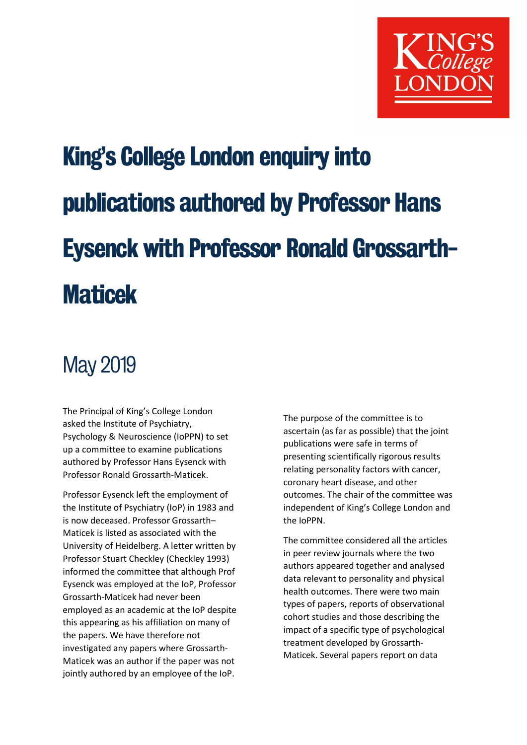

# King's College London enquiry into publications authored by Professor Hans Eysenck with Professor Ronald Grossarth-**Maticek**

## May 2019

The Principal of King's College London asked the Institute of Psychiatry, Psychology & Neuroscience (IoPPN) to set up a committee to examine publications authored by Professor Hans Eysenck with Professor Ronald Grossarth-Maticek.

Professor Eysenck left the employment of the Institute of Psychiatry (IoP) in 1983 and is now deceased. Professor Grossarth– Maticek is listed as associated with the University of Heidelberg. A letter written by Professor Stuart Checkley (Checkley 1993) informed the committee that although Prof Eysenck was employed at the IoP, Professor Grossarth-Maticek had never been employed as an academic at the IoP despite this appearing as his affiliation on many of the papers. We have therefore not investigated any papers where Grossarth-Maticek was an author if the paper was not jointly authored by an employee of the IoP.

The purpose of the committee is to ascertain (as far as possible) that the joint publications were safe in terms of presenting scientifically rigorous results relating personality factors with cancer, coronary heart disease, and other outcomes. The chair of the committee was independent of King's College London and the IoPPN.

The committee considered all the articles in peer review journals where the two authors appeared together and analysed data relevant to personality and physical health outcomes. There were two main types of papers, reports of observational cohort studies and those describing the impact of a specific type of psychological treatment developed by Grossarth-Maticek. Several papers report on data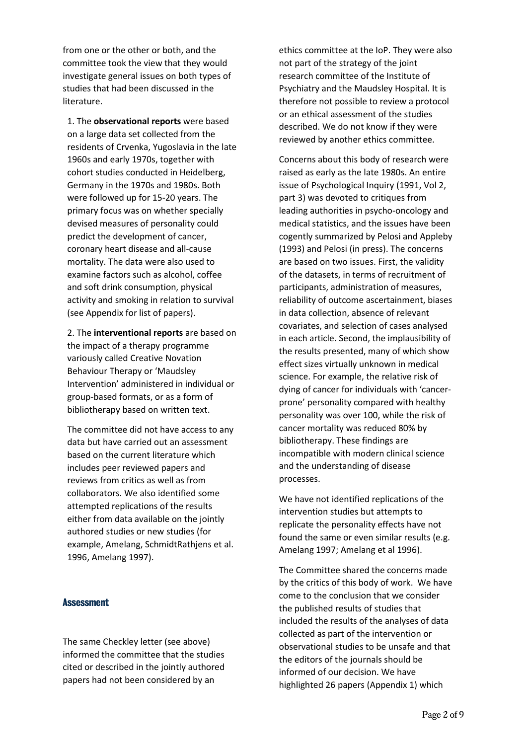from one or the other or both, and the committee took the view that they would investigate general issues on both types of studies that had been discussed in the literature.

1. The observational reports were based on a large data set collected from the residents of Crvenka, Yugoslavia in the late 1960s and early 1970s, together with cohort studies conducted in Heidelberg, Germany in the 1970s and 1980s. Both were followed up for 15-20 years. The primary focus was on whether specially devised measures of personality could predict the development of cancer, coronary heart disease and all-cause mortality. The data were also used to examine factors such as alcohol, coffee and soft drink consumption, physical activity and smoking in relation to survival (see Appendix for list of papers).

2. The interventional reports are based on the impact of a therapy programme variously called Creative Novation Behaviour Therapy or 'Maudsley Intervention' administered in individual or group-based formats, or as a form of bibliotherapy based on written text.

The committee did not have access to any data but have carried out an assessment based on the current literature which includes peer reviewed papers and reviews from critics as well as from collaborators. We also identified some attempted replications of the results either from data available on the jointly authored studies or new studies (for example, Amelang, SchmidtRathjens et al. 1996, Amelang 1997).

#### Assessment

The same Checkley letter (see above) informed the committee that the studies cited or described in the jointly authored papers had not been considered by an

ethics committee at the IoP. They were also not part of the strategy of the joint research committee of the Institute of Psychiatry and the Maudsley Hospital. It is therefore not possible to review a protocol or an ethical assessment of the studies described. We do not know if they were reviewed by another ethics committee.

Concerns about this body of research were raised as early as the late 1980s. An entire issue of Psychological Inquiry (1991, Vol 2, part 3) was devoted to critiques from leading authorities in psycho-oncology and medical statistics, and the issues have been cogently summarized by Pelosi and Appleby (1993) and Pelosi (in press). The concerns are based on two issues. First, the validity of the datasets, in terms of recruitment of participants, administration of measures, reliability of outcome ascertainment, biases in data collection, absence of relevant covariates, and selection of cases analysed in each article. Second, the implausibility of the results presented, many of which show effect sizes virtually unknown in medical science. For example, the relative risk of dying of cancer for individuals with 'cancerprone' personality compared with healthy personality was over 100, while the risk of cancer mortality was reduced 80% by bibliotherapy. These findings are incompatible with modern clinical science and the understanding of disease processes.

We have not identified replications of the intervention studies but attempts to replicate the personality effects have not found the same or even similar results (e.g. Amelang 1997; Amelang et al 1996).

The Committee shared the concerns made by the critics of this body of work. We have come to the conclusion that we consider the published results of studies that included the results of the analyses of data collected as part of the intervention or observational studies to be unsafe and that the editors of the journals should be informed of our decision. We have highlighted 26 papers (Appendix 1) which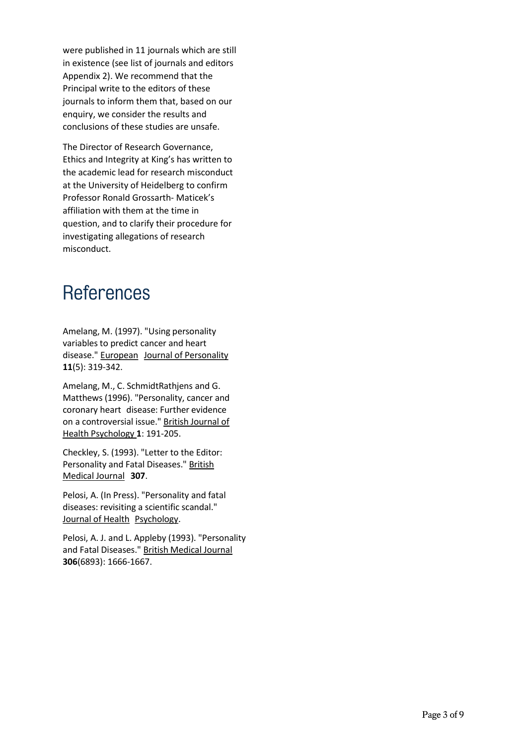were published in 11 journals which are still in existence (see list of journals and editors Appendix 2). We recommend that the Principal write to the editors of these journals to inform them that, based on our enquiry, we consider the results and conclusions of these studies are unsafe.

The Director of Research Governance, Ethics and Integrity at King's has written to the academic lead for research misconduct at the University of Heidelberg to confirm Professor Ronald Grossarth- Maticek's affiliation with them at the time in question, and to clarify their procedure for investigating allegations of research misconduct.

### **References**

Amelang, M. (1997). "Using personality variables to predict cancer and heart disease." European Journal of Personality 11(5): 319-342.

Amelang, M., C. SchmidtRathjens and G. Matthews (1996). "Personality, cancer and coronary heart disease: Further evidence on a controversial issue." British Journal of Health Psychology 1: 191-205.

Checkley, S. (1993). "Letter to the Editor: Personality and Fatal Diseases." British Medical Journal 307.

Pelosi, A. (In Press). "Personality and fatal diseases: revisiting a scientific scandal." Journal of Health Psychology.

Pelosi, A. J. and L. Appleby (1993). "Personality and Fatal Diseases." British Medical Journal 306(6893): 1666-1667.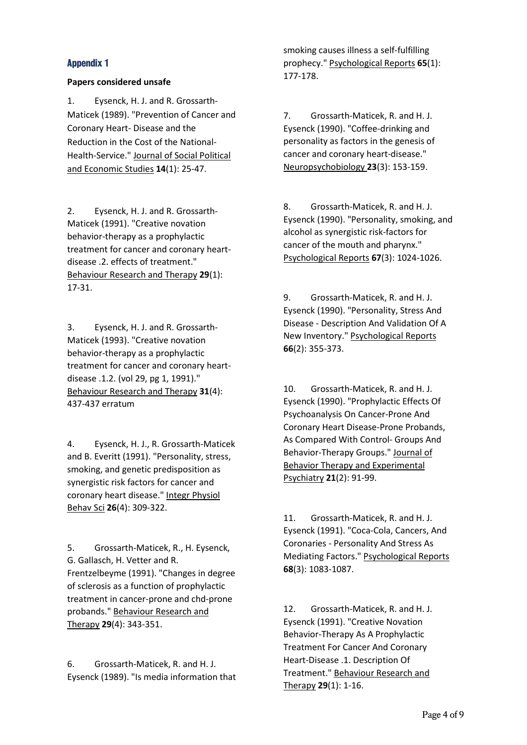#### Appendix 1

#### Papers considered unsafe

1. Eysenck, H. J. and R. Grossarth-Maticek (1989). "Prevention of Cancer and Coronary Heart- Disease and the Reduction in the Cost of the National-Health-Service." Journal of Social Political and Economic Studies 14(1): 25-47.

2. Eysenck, H. J. and R. Grossarth-Maticek (1991). "Creative novation behavior-therapy as a prophylactic treatment for cancer and coronary heartdisease .2. effects of treatment." Behaviour Research and Therapy 29(1): 17-31.

3. Eysenck, H. J. and R. Grossarth-Maticek (1993). "Creative novation behavior-therapy as a prophylactic treatment for cancer and coronary heartdisease .1.2. (vol 29, pg 1, 1991)." Behaviour Research and Therapy 31(4): 437-437 erratum

4. Eysenck, H. J., R. Grossarth-Maticek and B. Everitt (1991). "Personality, stress, smoking, and genetic predisposition as synergistic risk factors for cancer and coronary heart disease." Integr Physiol Behav Sci 26(4): 309-322.

5. Grossarth-Maticek, R., H. Eysenck, G. Gallasch, H. Vetter and R. Frentzelbeyme (1991). "Changes in degree of sclerosis as a function of prophylactic treatment in cancer-prone and chd-prone probands." Behaviour Research and Therapy 29(4): 343-351.

6. Grossarth-Maticek, R. and H. J. Eysenck (1989). "Is media information that smoking causes illness a self-fulfilling prophecy." Psychological Reports 65(1): 177-178.

7. Grossarth-Maticek, R. and H. J. Eysenck (1990). "Coffee-drinking and personality as factors in the genesis of cancer and coronary heart-disease." Neuropsychobiology 23(3): 153-159.

8. Grossarth-Maticek, R. and H. J. Eysenck (1990). "Personality, smoking, and alcohol as synergistic risk-factors for cancer of the mouth and pharynx." Psychological Reports 67(3): 1024-1026.

9. Grossarth-Maticek, R. and H. J. Eysenck (1990). "Personality, Stress And Disease - Description And Validation Of A New Inventory." Psychological Reports 66(2): 355-373.

10. Grossarth-Maticek, R. and H. J. Eysenck (1990). "Prophylactic Effects Of Psychoanalysis On Cancer-Prone And Coronary Heart Disease-Prone Probands, As Compared With Control- Groups And Behavior-Therapy Groups." Journal of Behavior Therapy and Experimental Psychiatry 21(2): 91-99.

11. Grossarth-Maticek, R. and H. J. Eysenck (1991). "Coca-Cola, Cancers, And Coronaries - Personality And Stress As Mediating Factors." Psychological Reports 68(3): 1083-1087.

12. Grossarth-Maticek, R. and H. J. Eysenck (1991). "Creative Novation Behavior-Therapy As A Prophylactic Treatment For Cancer And Coronary Heart-Disease .1. Description Of Treatment." Behaviour Research and Therapy 29(1): 1-16.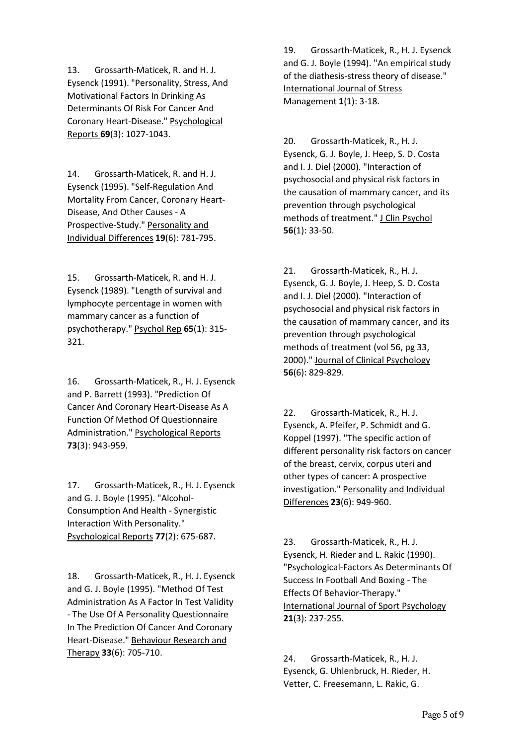13. Grossarth-Maticek, R. and H. J. Eysenck (1991). "Personality, Stress, And Motivational Factors In Drinking As Determinants Of Risk For Cancer And Coronary Heart-Disease." Psychological Reports 69(3): 1027-1043.

14. Grossarth-Maticek, R. and H. J. Eysenck (1995). "Self-Regulation And Mortality From Cancer, Coronary Heart-Disease, And Other Causes - A Prospective-Study." Personality and Individual Differences 19(6): 781-795.

15. Grossarth-Maticek, R. and H. J. Eysenck (1989). "Length of survival and lymphocyte percentage in women with mammary cancer as a function of psychotherapy." Psychol Rep 65(1): 315-321.

16. Grossarth-Maticek, R., H. J. Eysenck and P. Barrett (1993). "Prediction Of Cancer And Coronary Heart-Disease As A Function Of Method Of Questionnaire Administration." Psychological Reports 73(3): 943-959.

17. Grossarth-Maticek, R., H. J. Eysenck and G. J. Boyle (1995). "Alcohol-Consumption And Health - Synergistic Interaction With Personality." Psychological Reports 77(2): 675-687.

18. Grossarth-Maticek, R., H. J. Eysenck and G. J. Boyle (1995). "Method Of Test Administration As A Factor In Test Validity - The Use Of A Personality Questionnaire In The Prediction Of Cancer And Coronary Heart-Disease." Behaviour Research and Therapy 33(6): 705-710.

19. Grossarth-Maticek, R., H. J. Eysenck and G. J. Boyle (1994). "An empirical study of the diathesis-stress theory of disease." International Journal of Stress Management 1(1): 3-18.

20. Grossarth-Maticek, R., H. J. Eysenck, G. J. Boyle, J. Heep, S. D. Costa and I. J. Diel (2000). "Interaction of psychosocial and physical risk factors in the causation of mammary cancer, and its prevention through psychological methods of treatment." J Clin Psychol 56(1): 33-50.

21. Grossarth-Maticek, R., H. J. Eysenck, G. J. Boyle, J. Heep, S. D. Costa and I. J. Diel (2000). "Interaction of psychosocial and physical risk factors in the causation of mammary cancer, and its prevention through psychological methods of treatment (vol 56, pg 33, 2000)." Journal of Clinical Psychology 56(6): 829-829.

22. Grossarth-Maticek, R., H. J. Eysenck, A. Pfeifer, P. Schmidt and G. Koppel (1997). "The specific action of different personality risk factors on cancer of the breast, cervix, corpus uteri and other types of cancer: A prospective investigation." Personality and Individual Differences 23(6): 949-960.

23. Grossarth-Maticek, R., H. J. Eysenck, H. Rieder and L. Rakic (1990). "Psychological-Factors As Determinants Of Success In Football And Boxing - The Effects Of Behavior-Therapy." International Journal of Sport Psychology 21(3): 237-255.

24. Grossarth-Maticek, R., H. J. Eysenck, G. Uhlenbruck, H. Rieder, H. Vetter, C. Freesemann, L. Rakic, G.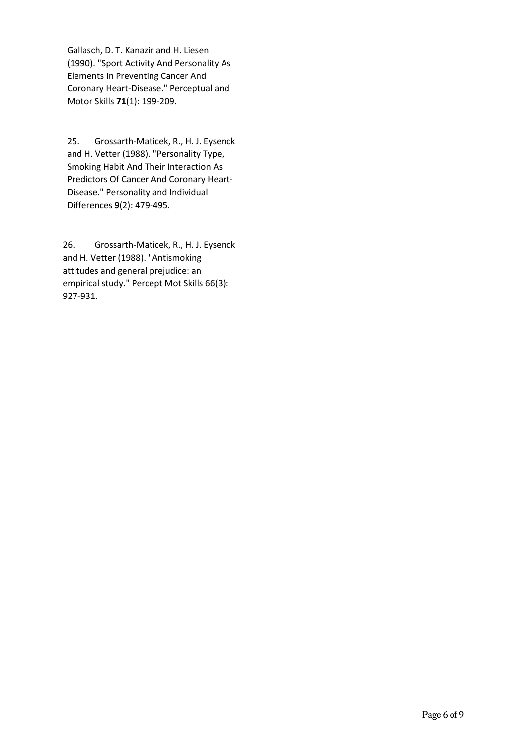Gallasch, D. T. Kanazir and H. Liesen (1990). "Sport Activity And Personality As Elements In Preventing Cancer And Coronary Heart-Disease." Perceptual and Motor Skills 71(1): 199-209.

25. Grossarth-Maticek, R., H. J. Eysenck and H. Vetter (1988). "Personality Type, Smoking Habit And Their Interaction As Predictors Of Cancer And Coronary Heart-Disease." Personality and Individual Differences 9(2): 479-495.

26. Grossarth-Maticek, R., H. J. Eysenck and H. Vetter (1988). "Antismoking attitudes and general prejudice: an empirical study." Percept Mot Skills 66(3): 927-931.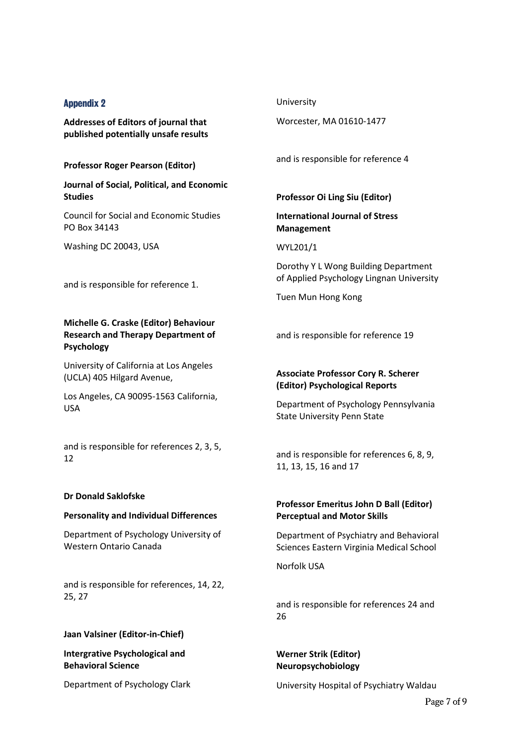#### Appendix 2

Addresses of Editors of journal that published potentially unsafe results

Professor Roger Pearson (Editor)

Journal of Social, Political, and Economic **Studies** 

Council for Social and Economic Studies PO Box 34143

Washing DC 20043, USA

and is responsible for reference 1.

#### Michelle G. Craske (Editor) Behaviour Research and Therapy Department of Psychology

University of California at Los Angeles (UCLA) 405 Hilgard Avenue,

Los Angeles, CA 90095-1563 California, USA

and is responsible for references 2, 3, 5, 12

#### Dr Donald Saklofske

#### Personality and Individual Differences

Department of Psychology University of Western Ontario Canada

and is responsible for references, 14, 22, 25, 27

#### Jaan Valsiner (Editor-in-Chief)

Intergrative Psychological and Behavioral Science

Department of Psychology Clark

#### University

Worcester, MA 01610-1477

and is responsible for reference 4

#### Professor Oi Ling Siu (Editor)

International Journal of Stress Management

#### WYL201/1

Dorothy Y L Wong Building Department of Applied Psychology Lingnan University

Tuen Mun Hong Kong

and is responsible for reference 19

#### Associate Professor Cory R. Scherer (Editor) Psychological Reports

Department of Psychology Pennsylvania State University Penn State

and is responsible for references 6, 8, 9, 11, 13, 15, 16 and 17

#### Professor Emeritus John D Ball (Editor) Perceptual and Motor Skills

Department of Psychiatry and Behavioral Sciences Eastern Virginia Medical School

Norfolk USA

and is responsible for references 24 and 26

Werner Strik (Editor) Neuropsychobiology

University Hospital of Psychiatry Waldau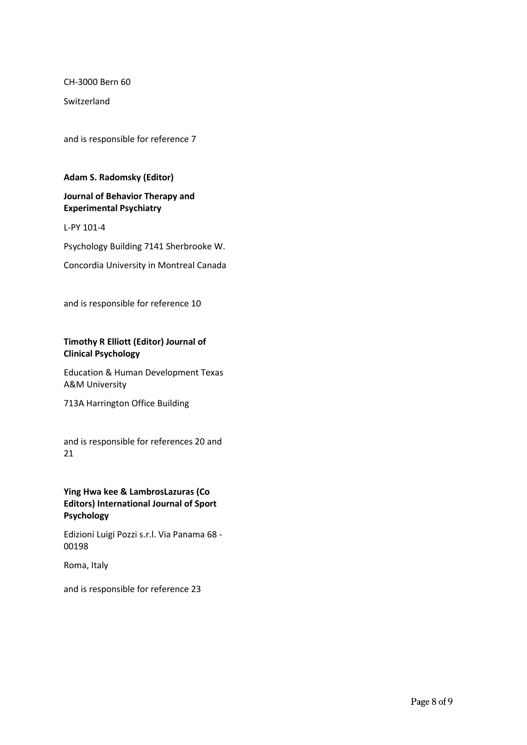CH-3000 Bern 60

Switzerland

and is responsible for reference 7

#### Adam S. Radomsky (Editor)

#### Journal of Behavior Therapy and Experimental Psychiatry

L-PY 101-4

Psychology Building 7141 Sherbrooke W.

Concordia University in Montreal Canada

and is responsible for reference 10

#### Timothy R Elliott (Editor) Journal of Clinical Psychology

Education & Human Development Texas A&M University

713A Harrington Office Building

and is responsible for references 20 and 21

#### Ying Hwa kee & LambrosLazuras (Co Editors) International Journal of Sport Psychology

Edizioni Luigi Pozzi s.r.l. Via Panama 68 - 00198

Roma, Italy

and is responsible for reference 23